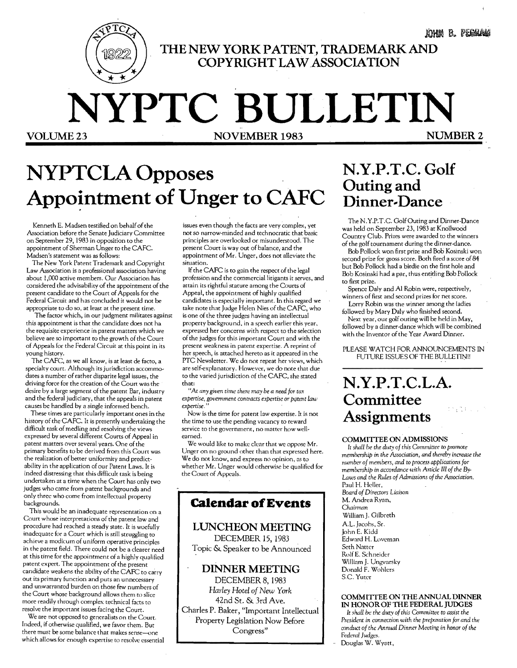.tom B. PEGRAM

**THE NEW YORK PATENT, TRADEMARK AND COPYRIGHT LA WASSOCIATION** 

# **NYPTC BULLETIN VOLUME 23 NOVEMBER 1983**

## **NYPTCLA Opposes**  Appointment of Unger to CAFC

Kenneth E. Madsen testified on behalf of the Association before the Senate Judiciary Committee on September 29, 1983 in opposition to the appointment of Sherman Unger to the CAFC. Madsen's statement was as follows:

The New York Patent Trademark and Copyright Law Association is a professional association having about 1,000 active members. Our Association has considered the advisability of the appointment of the present candidate to the Court of Appeals for the Federal Circuit and has concluded it would not be appropriate to do so, at least at the present time.

The factor which, in our judgment militates against this appointment is that the candidate does not ha the requisite experience in patent matters which we believe are so important co the growth of the Court of Appeals for the Federal Circuit at this point in its young history.

The CAFC, as we all know, is at least de facto, a specialty court. Although its jurisdiction accommo dates a number of rather disparite legal issues, the driving force for the creation of the Court was the desire by a large segment of the patent Bar, industry and the federal judiciary, that the appeals in patent causes be handled by a single informed bench.

These times are particularly important ones in the history of the CAFC. It is presently undertaking the difficult task of medling and resolving the views expressed by several different Courts of Appeal in patent matters over several years. One of the primary benefits to be derived from this Court was the realization of better uniformity and predict· ability in the application of our Patent Laws. It is indeed distressing that this difficult task is being undertaken at a time when the Court has only two judges who came from patent backgrounds and only three who come from intellectual property backgrounds.

This would be an inadequate representation on a Court whose interpretations of the patent law and procedure had reached a steady state. It is woefully inadequate for a Court which is still struggling to achieve a modicum of uniform operative principles in the patent field. There could not be a clearer need at this time for the appointment of a highly qualified patent expert. The appointment of the present candidate weakens the ability of the CAFC to carry out its primary function and puts an unnecessary and unwarranted burden on those few numbers of the Court whose background allows them to slice more readily through complex technical facts to resolve the important issues facing the Court.

We are not opposed to generalists on the Court. Indeed, if otherwise qualified, we favor them. But there must be some balance that makes sense-one which allows for enough expertise to resolve essential issues even though the facts are very complex, yet not so narrow-minded and technocratic that basic principles are overlooked or misunderstood. The present Court is way out of balance, and the appointment ofMr. Unger, does not alleviate the situation.

If the CAFC is to gain the respect of the legal profession and the commercial litigants it serves, and attain its rightful stature among the Courts of Appeal, the appointment of highly qualified candidates is especially important. In this regard we take note that Judge Helen Nies of the CAFC, who is one of the three judges having an intellectual property background, in a speech earlier this year, expressed her concerns with respect to the selection of the judges for this important Court and with the present weakness in patent expertise. A reprint of her speech, is attached hereto as it appeared in the PTC Newsletter. We do not repeat her views, which are self-explanatory. However, we do note that due to the varied jurisdiction of the CAFC, she stated that:

*"At any given* time there *may* be *a* need *for tax*  expertise, gO<lemment *contracts expertise* or *PQtent law*   $ext{ is:}$ 

Now is the time for patent law expertise. It is not the time to use the pending vacancy to reward service to the government, no matter how wellearned.

We would like to make clear that we oppose Mr. Unger on no ground other than that expressed here. We do not know, and express no opinion, as to whether Mr. Unger would otherwise be qualified for the Court of Appeals.

### **Calendar of Events**

### **LUNCHEON MEETING**

DECEMBER 15,1983 Topic & Speaker to be Announced

#### **DINNER MEETING**

DECEMBER 8, 1983 *Harley Hotel of New York*  42nd St. & 3rd Ave. Charles P. Baker, "Important Intellectual Property Legislation Now Before Congress"

## **N.Y.P.T.C. Golf**  Outing and Dinner-Dance

The N.Y.P.T.C. Golf Outing and Dinner-Dance was held on September 23, 1983 at Knollwood Country Club. Prizes were awarded to the winners of the golf tournament during the dinner-dance.

Bob Pollock won first prize and Bob Kosinski won second prize for gross score. Both fired a score of 84 but Bob Pollock had a birdie on the first hole and Bob Kosinski had a par, thus entitling Bob Pollock to first prize.

Spence Daly and Al Robin were, respectively, winners of first and second prizes for net score.

Lorry Robin was the winner among the ladies followed by Mary Daly who finished second. Next year, our golf outing will be held in May, followed by a dinner-dance which will be combined

with the Inventor of the Year Award Dinner.

PLEASE WATCH FOR ANNOUNCEMENTS IN FUTURE ISSUES OF THE BULLETIN!!

## **N.Y.P.T.C.L.A. Committee Assignments**

#### COMMITTEE ON ADMISSIONS

It shall be the duty of this Committee to promote *membership* in the Association, *and thereby* increase *the number of members,* and to *process applications for membership* in *accordance* with Arrick *III of the By·*  Laws and the Rules of Admissions of the Association. Paul H. Heller, *Board of Directors Liaison*  M. Andrea Ryan, *Chairman*  William J. Gilbreth AL. Jacohs, Sr. John E. Kidd

Edward H. Loveman Seth Natter RolfE. Schneider Willinm J. Ungvarsky Donald F. Wohlers S.C Yuter

#### COMMITTEE ON THE ANNUAL DINNER IN HONOR OF THE FEDERAL JUDGES

It *shall be the duty of this* Olmmittee to *assist* the *President* in connection with *the preparation for and the*  amdllct *of the* Annual Dinner Meeting in honor *of the Federal Judges.* 

Douglas W. Wyatt,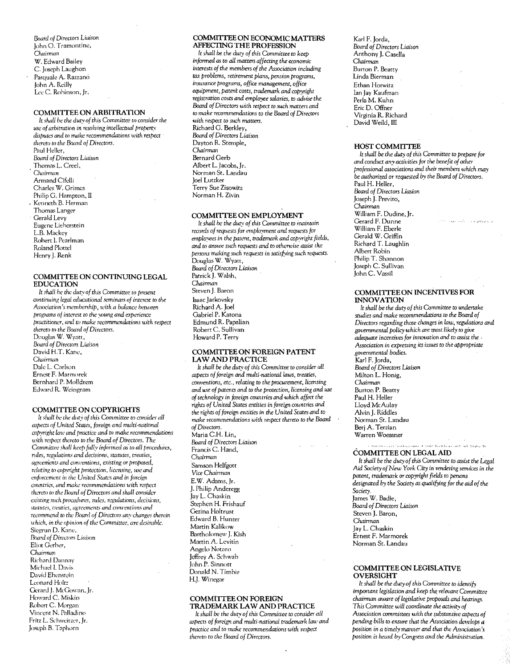Board of Directors Liaison John O. Tramontine, Chairman W. Edward Bailey C. Joseph Laughon Pasquale A. Razzano John A. Reilly Lee C. Robinson, Jr.

#### COMMITTEE ON ARBITRATION

It shall be the duty of this Committee to consider the use of arbitration in resolving intellectual property disputes and to make recommendations with respect thereto to the Board of Directors. Paul Heller, Board of Directors Liaison Thomas L. Creel, Chairman Armand Cifelli Charles W. Grimes Philip G. Hampton, II Kenneth B. Herman Thomas Langer Gerald Levy Eugene Lieberstein L.B. Mackey Robert I. Pearlman Roland Plottel Henry J. Renk

#### COMMITTEE ON CONTINUING LEGAL **EDUCATION**

It shall be the duty of this Committee to present continuing legal educational seminars of interest to the Association's membership, with a balance between programs of interest to the voung and experience practitioner, and to make recommendations with respect thereto to the Board of Directors. Douglas W. Wyatt. Board of Directors Liaison David H.T. Kane, Chairman Dale L. Carlson Ernest F. Marmorek Bernhard P. Molldrem Edward R. Weingram

#### **COMMITTEE ON COPYRIGHTS**

It shall be the duty of this Committee to consider all aspects of United States, foreign and multi-national copyright law and practice and to make recommendations with respect thereto to the Board of Directors. The Committee shall keep fully informed as to all procedures, ndes, regulations and decisions, statutes, treaties, agreements and conventions, existing or proposed, relating to copyright protection, licensing, use and enforcement in the United States and in foreign countries, and make recommendations with respect thereto to the Board of Directors and shall consider existing such procedures, rules, regulations, decisions, statutes, treaties, agreements and conventions and recommend to the Board of Directors any changes therein which, in the opinion of the Committee, are desirable. Siegrun D. Kane, Board of Directors Liaison Eliot Gerber, Chainman Richard Dannay Michael I. Davis David Ebenstein Leonard Holtz Gerard J. McGowan, Jr. Howard C. Miskin Robert C. Morgan Vincent N. Palladino Fritz L. Schweitzer, Jr.

Joseph B. Taphorn

#### COMMITTEE ON ECONOMIC MATTERS **AFFECTING THE PROFESSION**

It shall be the duty of this Committee to keep informed as to all matters affecting the economic interests of the members of the Association including tax problems, retirement plans, pension programs, insurance programs, office management, office equipment, patent costs, trademark and copyright registration costs and employee salaries, to advise the Board of Directors with respect to such matters and to make recommendations to the Board of Directors with respect to such matters. Richard G. Berkley, Board of Directors Liaison Dayton R. Stemple, Chairman Bernard Gerb Albert L. Jacobs, Ir. Norman St. Landau Joel Lutzker Terry Sue Zisowitz Norman H. Zivin

#### COMMITTEE ON EMPLOYMENT

It shall be the duty of this Committee to maintain records of requests for employment and requests for employees in the patent, trademark and copyright fields, and to answe such requests and to otherwise assist the persons making such requests in satisfying such requests. Douglas W. Wyatt, Board of Directors Liaison Patrick J. Walsh, Chairman Steven J. Baron Isaac Jarkovsky Richard A. Joel Gabriel P. Katona Edmund R. Papalian Robert C. Sullivan

#### COMMITTEE ON FOREIGN PATENT **LAW AND PRACTICE**

It shall be the duty of this Committee to consider all aspects of foreign and multi-national laws, treaties, conventions, etc., relating to the procurement, licensing and use of patents and to the protection, licensing and use of technology in foreign countries and which affect the rights of United States entities in foreign countries and the rights of foreign entities in the United States and to make recommendations with respect thereto to the Board of Directors.

Maria C.H. Lin, Board of Directors Liaison Francis C. Hand, Chairman Samson Helfgott Vice Chairman E.W. Adams, Jr. J. Philip Anderegg Jay L. Chaskin Stephen H. Frishauf Gezina Holtrust Edward B. Hunter Martin Kalikow Bartholomew J. Kish Martin A. Levitin Angelo Notaro Jeffrey A. Schwab John P. Sinnott Donald N. Timbie H.J. Winegar

#### COMMITTEE ON FOREIGN TRADEMARK LAW AND PRACTICE

It shall be the duty of this Committee to consider all aspects of foreign and multi-national trademark law and practice and to make recommendations with respect thereto to the Board of Directors.

Karl F. Jorda, Board of Directors Liaison Anthony J. Casella Chairman Burton P. Beatty Linda Bierman Ethan Horwitz Ian Jay Kaufman Perla M. Kuhn Eric D. Offner Virginia R. Richard David Weild, III

#### HOST COMMITTEE

It shall be the duty of this Committee to prepare for and conduct any activities for the benefit of other professional associations and their members which may be authorized or requested by the Board of Directors. Paul H. Heller, Board of Directors Liasion Joseph J. Previto, Chairman William F. Dudine, Jr. Gerard F. Dunne William F. Eberle Gerald W. Griffin Richard T. Laughlin Albert Robin Philip T. Shannon<br>Joseph C. Sullivan John C. Vassil

#### **COMMITTEE ON INCENTIVES FOR INNOVATION**

It shall be the duty of this Committee to undertake studies and make recommendations to the Board of Directors regarding those changes in law, regulations and governmental policy which are most likely to give adequate incentives for innovation and to assist the Association in expressing its issues to the appropriate governmental bodies. Karl F. Jorda, Board of Directors Liaison Milton L. Honig, Chairman Burton P. Beatty Paul H. Heller Lloyd McAulay Alvin J. Riddles Norman St. Landau Berj A. Terzian Warren Woessner

#### COMMITTEE ON LEGAL AID

It shall be the duty of this Committee to assist the Legal Aid Society of New York City in rendering services in the patent, trademark or copyright fields to persons designated by the Society as qualifying for the aid of the Society.<br>James W. Badie, Board of Directors Liaison Steven J. Baron, Chairman Jav L. Chaskin Ernest F. Marmorek

.<br>The second film form and start films that and many properties of the control.

#### **COMMITTEE ON LEGISLATIVE OVERSIGHT**

Norman St. Landau

It shall be the duty of this Committee to identify important legislation and keep the relevant Committee chairman aware of legislative proposals and hearings. This Committee will coordinate the activity of Association committees with the substantive aspects of pending bills to ensure that the Association develops a position in a timely manner and that the Association's position is heard by Congress and the Administration.

医脑室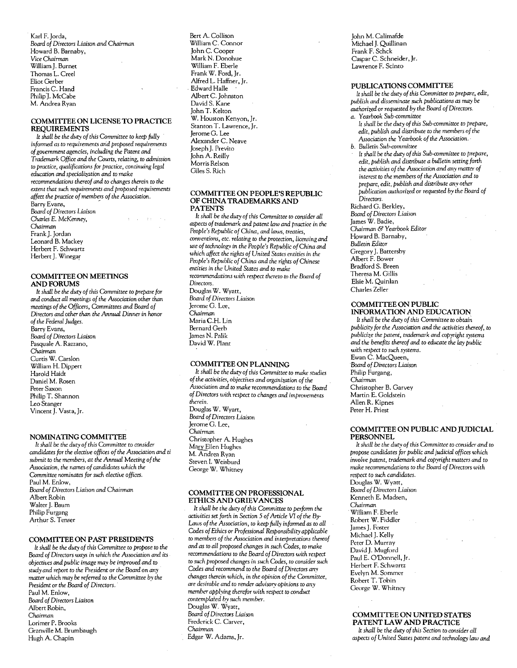Karl F. Jorda, *&lard of Directors Liaison and Chairman*  Howard B. Barnaby, *Vice Chairman*  WilliamJ. Burnet Thomas L. Creel Eliot Gerber Francis C. Hand Philip J. McCabe M. Andrea Ryan

#### COMMITTEE ON LICENSE TO PRACTICE REQUIREMENTS

*It shall be* the *duty of* this *Committee* to *keep fully informed as* to *requirements arid proposed requirements of*government *agencies,* including the Patent *and Trademark Office* and *the* Courts, *relating,* to admission to *practice, qualifications for practice,* continuing *legal education* and *specialization and* to *make recommendations thereof* and to *changes* therein to the extent that *such requirements and proposed requirements affect the practice ofmembers of the* Association. Barry Evans, *&lard of Directors Liaison Charles* E. McKenney, Chairman Frank J. Jordan Leonard B. Mackey Herbert F. Schwartz Herbert J. Winegar

#### COMMIITEE ON MEETINGS AND FORUMS

It *shall be* the *duty of* this Committee to *prepare for*  and conduct *all meetings of* the Association other than *meetings of* the *Officers, Committees and &lard of Directors and* other than the Annual Dinner in honor *of*the *Federal Judges.*  Barry Evans, *&lard of Directors* Liaison Pasquale A. Razzano, *Chairman*  Curtis W. Carslon William H. Dippert Harold Haidt Daniel M. Rosen Peter Saxon Philip T. Shannon Leo Stanger Vincent J. Vasta, Jr.

#### NOMINATING COMMIITEE

It *shall be* the *duty of this Committee* to consider *candidates for the elective offices of* the *Association and* ti submit to *the members, at* the *Annual Meeting of*the Association, the *names of* candidates *which* the *Committee nominates for such elective offices.*  Paul M. Enlow, *&lard of Directors Liaison and Chairman*  Albert Robin Walter J. Baum Philip Furgang Arthur S. Tenser

#### COMMITTEE ON PAST PRESIDENTS

*It shall be* the *duty of this Committee* to *propose* to the *&lard of Directors ways* in *which* the Association *and* its *objectives* and *public image may be improved and* to *study and report* to the *President* or *the Board* on *any*  matter *which may be referred* to *the Committee by the President* or *the Board of Directors.*  Paul M. Enlow, **Board of Directors Liaison** Albert Robin, *Chairman*  Lorimer P. Brooks Granville M. Brumbaugh Hugh A. Chapin

Bert A. Collison William C. Connor John C. Cooper Mark N. Donohue William F. Eberle Frank W. Ford, Jr. Alfred L. Haffner, Jr. . Edward Halle Albert C. Johnston David S. Kane John T. Kelton W. Houston Kenyon, Jr. Stanton T. Lawrence, Jr. Jerome G. Lee Alexander C. Neave Joseph J. Previto John A. Reilly Morris Relson Giles S. Rich

#### COMMIITEE ON PEOPLE'S REPUBLIC OF CHINA TRADEMARKS AND PATENTS

It *shall be* the *duty of* this Committee to *consider all aspects of trademark* and *patent law* and *practice* in *the People's Republic of China, and laws, treaties,*  conventions, etc. relating to *the protection,* licensing *and use of technololf.'l* in *the People's Republic ofChina and which affect* the *rights of United* States *entities* in the *People's Republic of China and the* rights *of Chinese*  entities in the United *States and* to *make recommendations* u'ith *respect* thereto to the *&lard of Directors.*  Douglas W. Wyatt, *&lard of Directors* Liaison Jerome<sup>G</sup>. Lee, *Chairman*  Maria C.H. Lin Bernard Gerb James N. Palik David W. Plant

#### COMMIITEE ON PLANNING

It *shall be the duty of* this *Committee* to *make studies of*the *activities, objectives and organization of the*  Association *and* to *make recommendations* to the *Board*  of Directors with respect to *changes and improvements* therein. Douglas W. Wyart,

*&lard of Directors Liaison*  Jerome G. Lee, *Chairman*  Christopher A. Hughes Mary Ellen Hughes M. Andrea Ryan Steven l. Weisburd George W. Whitney

#### COMMITTEE ON PROFESSIONAL ETHICS AND GRIEVANCES

It *shall be* the *duty of* this *Committee* to *perform* the *activities set forth* in Section 5 *of Article*  VI *of the Laws ofthe Association,*  to *keep fully informed as*  to *all Codes of*Ethics or *Professional Responsibility applicable*  to *members of the* Association and interpretations *thereof*  and *as* to *all proposed changes* in *such Codes,* to *make recommendations* to the *&lard of Directors with respect*  to *such proposed changes* in *such Codes,* to consider *such Codes and recommend* to *the Board of Directors* anv *changes* therein *which,* in *the* opinion *of*the *Committee, are desirable and* to *render advisory* opinions to *any member applying therefor* with *respect* to *conduct contemplated by such member.*  Douglas W. Wyatt, **Board of Directors Liaison** Frederick C. Carver, *Chairman* 

Edgar W. Adams, Jr.

John M. Calimafde Michael J. Quillinan Frank F. Schck Caspar C. Schneider, Jr. Lawrence F. Scinto

#### PUBLICATIONS COMMITTEE

*It shall be* the *duty of this Committee* to *prepare, edit, publish* and *disseminate such publications as may be authorized* or *requested by the &lard of Directors. a. Yearbook* Sub-committee

- *It shall be the duty of* this *Sub-committee* to *prepare, edit, publish and distribute* to *the members of* the Association the *Yearbook of* the *Association.*
- *b. Bulletin Sub-committee*
- *It shall be* the *duty ofthis Sub-committee* to *prepare, edit, publish and distribute a bulletin* setting *forth*  the *activities of* the Association *and any* matter *of*  interest to the *members of* the *Association and* to *prepare, edit, publish and distribute any other publication authorized* or *requested by the Board of Directors.*
- Richard G. Berkley, *&lard of Directors* Liaison James W. Badie, Chairman *E<f Yearbook* Editor Howard B. Barnaby, *Bulletin* Editor Gregory J. Battersby Albert F. Bower Bradford S. Breen Theresa M. Gillis Elsie M. Quinlan Charles Zeller

#### COMMITTEE ON PUBLIC INFORMATION AND EDUCATION

*It shall be the duty of this Committee to obtain publicity for the* Association *and* the *activities thereof,* to *publicize* the *pateni, trademark* and copyright systems *and* the *benefits thereof and* to *educate* the *lay public with respect* to *such systems.*  Ewan C. MacQueen, *'&lard of Directors* Liaison Philip Furgang, Chairman Christopher B. Garvey Martin E. Goldstein Allen R. Kipnes Peter H. Priest

#### COMMITTEE ON PUBLIC AND JUDICIAL PERSONNEL

*By*<br>
Robert W. Fiddler It *shall be the duty of* this Committee to consider *and* to *propose candidates for public and judicial offices which involve patent, trademark and copyright matters and* to *make recommendations* to *the &lard of* Directors *with respect* to *such candidates.*  Douglas W. Wyatt, **Board of Directors Liaison** Kenneth E. Madsen, *Chairman*  William F. Eberle James J. Foster Michael J. Kelly Peter D. Murray David J. Mugford Paul E. O'Donnell, Jr. Herbert F. Schwartz Evelyn M. Sommer Robert T. Tohin George W. Whitney

#### COMMITTEE ON UNITED STATES PATENT LAW AND PRACTICE

*It shall be* the *duty of this Section* to consider *all aspects of United States patent and technology law and*